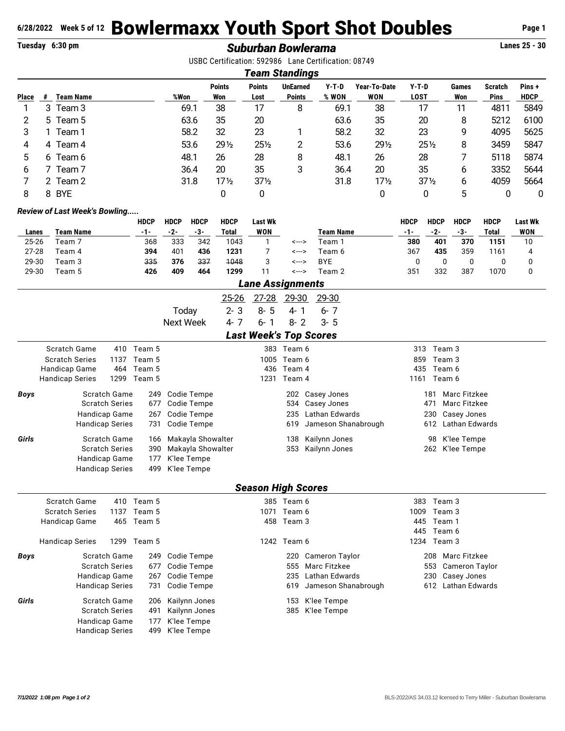## **6/28/2022 Week 5 of 12 Bowlermaxx Youth Sport Shot Doubles** Page 1<br> **Explormance Rowlers ans and Subset Shot DoubleS**

## **Tuesday 6:30 pm** *Suburban Bowlerama* **Lanes 25 - 30**

USBC Certification: 592986 Lane Certification: 08749

|       | Team Standings |                  |      |                      |                       |                                  |                  |                     |                        |              |                               |                      |
|-------|----------------|------------------|------|----------------------|-----------------------|----------------------------------|------------------|---------------------|------------------------|--------------|-------------------------------|----------------------|
| Place | #              | <b>Team Name</b> | %Won | <b>Points</b><br>Won | <b>Points</b><br>Lost | <b>UnEarned</b><br><b>Points</b> | $Y-T-D$<br>% WON | Year-To-Date<br>WON | $Y-T-D$<br><b>LOST</b> | Games<br>Won | <b>Scratch</b><br><b>Pins</b> | Pins+<br><b>HDCP</b> |
|       | 3              | Team 3           | 69.1 | 38                   | 17                    | 8                                | 69.1             | 38                  | 17                     | 11           | 4811                          | 5849                 |
| 2     |                | 5 Team 5         | 63.6 | 35                   | 20                    |                                  | 63.6             | 35                  | 20                     | 8            | 5212                          | 6100                 |
| 3     |                | Team 1           | 58.2 | 32                   | 23                    |                                  | 58.2             | 32                  | 23                     | 9            | 4095                          | 5625                 |
| 4     | 4              | Team 4           | 53.6 | $29\frac{1}{2}$      | $25\frac{1}{2}$       | 2                                | 53.6             | 291/2               | $25\frac{1}{2}$        | 8            | 3459                          | 5847                 |
| 5.    |                | 6 Team 6         | 48.1 | 26                   | 28                    | 8                                | 48.1             | 26                  | 28                     |              | 5118                          | 5874                 |
| 6     |                | Team 7           | 36.4 | 20                   | 35                    | 3                                | 36.4             | 20                  | 35                     | 6            | 3352                          | 5644                 |
|       |                | 2 Team 2         | 31.8 | $17\frac{1}{2}$      | $37\frac{1}{2}$       |                                  | 31.8             | $17\frac{1}{2}$     | $37\frac{1}{2}$        | 6            | 4059                          | 5664                 |
| 8     | 8              | <b>BYE</b>       |      | 0                    | 0                     |                                  |                  | 0                   | 0                      | 5            |                               | 0                    |

## *Review of Last Week's Bowling.....*

|           |           | HDCP | HDCP | <b>HDCP</b> | <b>HDCP</b> | Last Wk          |       |            | HDCP  | <b>HDCP</b> | HDCP | HDCP  | <b>Last Wk</b> |
|-----------|-----------|------|------|-------------|-------------|------------------|-------|------------|-------|-------------|------|-------|----------------|
| Lanes     | Team Name | -1-  | -2-  | -3-         | Total       | <b>WON</b>       |       | Team Name  | $-1-$ | -2-         | -3-  | Total | WON            |
| 25-26     | Team 7    | 368  | 333  | 342         | 1043        |                  | <---> | 「eam ´     | 380   | 401         | 370  | 1151  |                |
| $27 - 28$ | Team 4    | 394  | 401  | 436         | 1231        |                  | <---> | Геаm 6     | 367   | 435         | 359  | 1161  |                |
| 29-30     | Team 3    | 335  | 376  | 337         | 1048        |                  | <---> | <b>BYE</b> |       |             |      |       |                |
| 29-30     | Team 5    | 426  | 409  | 464         | 1299        | 11               | <---> | Team 2     | 351   | 332         | 387  | 1070  |                |
|           |           |      |      |             |             | lana Aanisnmanta |       |            |       |             |      |       |                |

|       | Lane Assignments              |                    |                    |                               |                       |                     |                              |  |  |  |  |
|-------|-------------------------------|--------------------|--------------------|-------------------------------|-----------------------|---------------------|------------------------------|--|--|--|--|
|       |                               |                    | $25 - 26$          | $27 - 28$                     | <u>29-30</u>          | 29-30               |                              |  |  |  |  |
|       |                               |                    | Today              | $2 - 3$<br>$8 - 5$            | $4 - 1$               | $6 - 7$             |                              |  |  |  |  |
|       |                               |                    | <b>Next Week</b>   | $4 - 7$<br>$6 - 1$            | $8 - 2$               | $3 - 5$             |                              |  |  |  |  |
|       |                               |                    |                    | <b>Last Week's Top Scores</b> |                       |                     |                              |  |  |  |  |
|       | Scratch Game                  | 410 Team 5         |                    |                               | 383 Team 6            |                     | 313<br>Team 3                |  |  |  |  |
|       | <b>Scratch Series</b><br>1137 | Team 5             |                    |                               | 1005 Team 6           |                     | 859<br>Team 3                |  |  |  |  |
|       | Handicap Game<br>464          | Team 5             |                    | 436                           | Team 4                |                     | 435<br>Team 6                |  |  |  |  |
|       | <b>Handicap Series</b>        | 1299 Team 5        |                    | 1231                          | Team 4                |                     | 1161 Team 6                  |  |  |  |  |
| Boys  | Scratch Game                  | 249                | Codie Tempe        |                               |                       | 202 Casey Jones     | Marc Fitzkee<br>181          |  |  |  |  |
|       | <b>Scratch Series</b>         | 677                | Codie Tempe        |                               | 534                   | Casey Jones         | 471<br><b>Marc Fitzkee</b>   |  |  |  |  |
|       | Handicap Game                 | 267                | Codie Tempe        |                               | 235                   | Lathan Edwards      | 230<br>Casey Jones           |  |  |  |  |
|       | <b>Handicap Series</b>        | 731                | Codie Tempe        |                               | 619                   | Jameson Shanabrough | <b>Lathan Edwards</b><br>612 |  |  |  |  |
| Girls | Scratch Game                  | 166                | Makayla Showalter  |                               | 138                   | Kailynn Jones       | K'lee Tempe<br>98            |  |  |  |  |
|       | <b>Scratch Series</b>         | 390                | Makayla Showalter  |                               | 353                   | Kailynn Jones       | 262 K'lee Tempe              |  |  |  |  |
|       | Handicap Game                 | 177                | K'lee Tempe        |                               |                       |                     |                              |  |  |  |  |
|       | <b>Handicap Series</b>        | 499                | K'lee Tempe        |                               |                       |                     |                              |  |  |  |  |
|       |                               |                    |                    | <b>Season High Scores</b>     |                       |                     |                              |  |  |  |  |
|       | <b>Scratch Game</b>           | 410 Team 5         |                    |                               | 385 Team 6            |                     | Team 3<br>383                |  |  |  |  |
|       | <b>Scratch Series</b>         | 1137 Team 5        |                    | 1071                          | Team 6                |                     | 1009<br>Team 3               |  |  |  |  |
|       | Handicap Game<br>465          | Team 5             |                    |                               | 458 Team 3            |                     | 445<br>Team 1                |  |  |  |  |
|       |                               |                    |                    |                               |                       |                     | 445<br>Team 6                |  |  |  |  |
|       | <b>Handicap Series</b>        | 1299 Team 5        |                    |                               | 1242 Team 6           |                     | 1234 Team 3                  |  |  |  |  |
| Boys  | Scratch Game                  | 249                | Codie Tempe        |                               | 220                   | Cameron Taylor      | <b>Marc Fitzkee</b><br>208   |  |  |  |  |
|       | <b>Scratch Series</b>         | 677                | Codie Tempe        |                               | 555                   | Marc Fitzkee        | 553<br>Cameron Taylor        |  |  |  |  |
|       | Handicap Game                 | 267<br>Codie Tempe |                    | 235                           | <b>Lathan Edwards</b> | Casey Jones<br>230  |                              |  |  |  |  |
|       | <b>Handicap Series</b>        | 731                | <b>Codie Tempe</b> |                               | 619                   | Jameson Shanabrough | <b>Lathan Edwards</b><br>612 |  |  |  |  |
| Girls | Scratch Game                  | 206                | Kailynn Jones      |                               | 153                   | K'lee Tempe         |                              |  |  |  |  |
|       | <b>Scratch Series</b>         | 491                | Kailynn Jones      |                               | 385                   | K'lee Tempe         |                              |  |  |  |  |
|       | Handicap Game                 | 177                | K'lee Tempe        |                               |                       |                     |                              |  |  |  |  |
|       | <b>Handicap Series</b>        | 499                | K'lee Tempe        |                               |                       |                     |                              |  |  |  |  |